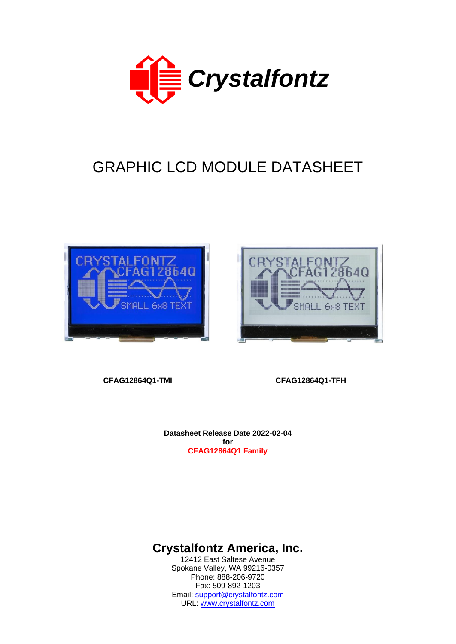

# GRAPHIC LCD MODULE DATASHEET





**CFAG12864Q1-TMI CFAG12864Q1-TFH** 

**Datasheet Release Date 2022-02-04 for CFAG12864Q1 Family**

**Crystalfontz America, Inc.**

12412 East Saltese Avenue Spokane Valley, WA 99216-0357 Phone: 888-206-9720 Fax: 509-892-1203 Email: [support@crystalfontz.com](mailto:support@crystalfontz.com) URL: [www.crystalfontz.com](http://www.crystalfontz.com/)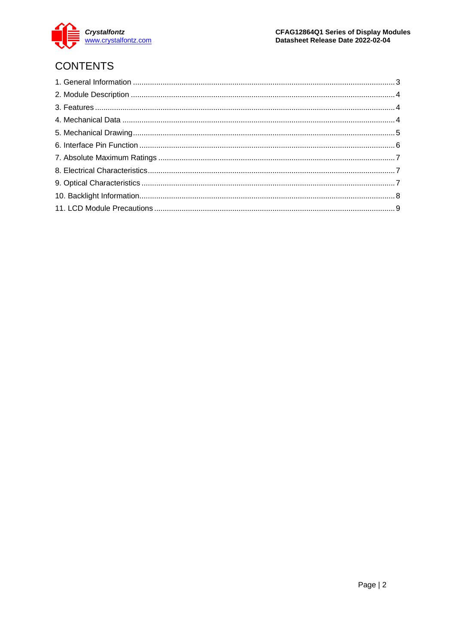

# **CONTENTS**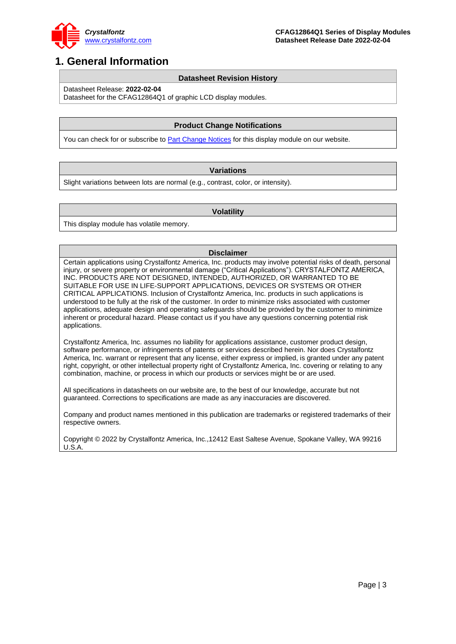

## <span id="page-2-0"></span>**1. General Information**

#### **Datasheet Revision History**

Datasheet Release: **2022-02-04**

Datasheet for the CFAG12864Q1 of graphic LCD display modules.

#### **Product Change Notifications**

You can check for or subscribe to **Part Change Notices** for this display module on our website.

#### **Variations**

Slight variations between lots are normal (e.g., contrast, color, or intensity).

#### **Volatility**

This display module has volatile memory.

#### **Disclaimer**

Certain applications using Crystalfontz America, Inc. products may involve potential risks of death, personal injury, or severe property or environmental damage ("Critical Applications"). CRYSTALFONTZ AMERICA, INC. PRODUCTS ARE NOT DESIGNED, INTENDED, AUTHORIZED, OR WARRANTED TO BE SUITABLE FOR USE IN LIFE-SUPPORT APPLICATIONS, DEVICES OR SYSTEMS OR OTHER CRITICAL APPLICATIONS. Inclusion of Crystalfontz America, Inc. products in such applications is understood to be fully at the risk of the customer. In order to minimize risks associated with customer applications, adequate design and operating safeguards should be provided by the customer to minimize inherent or procedural hazard. Please contact us if you have any questions concerning potential risk applications.

Crystalfontz America, Inc. assumes no liability for applications assistance, customer product design, software performance, or infringements of patents or services described herein. Nor does Crystalfontz America, Inc. warrant or represent that any license, either express or implied, is granted under any patent right, copyright, or other intellectual property right of Crystalfontz America, Inc. covering or relating to any combination, machine, or process in which our products or services might be or are used.

All specifications in datasheets on our website are, to the best of our knowledge, accurate but not guaranteed. Corrections to specifications are made as any inaccuracies are discovered.

Company and product names mentioned in this publication are trademarks or registered trademarks of their respective owners.

Copyright © 2022 by Crystalfontz America, Inc.,12412 East Saltese Avenue, Spokane Valley, WA 99216 U.S.A.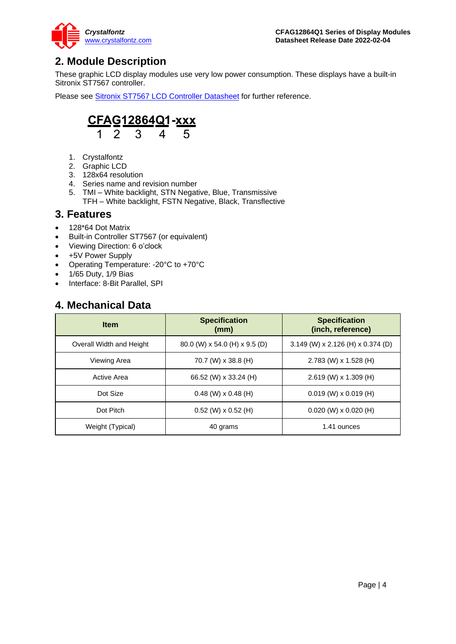

# <span id="page-3-0"></span>**2. Module Description**

These graphic LCD display modules use very low power consumption. These displays have a built-in Sitronix ST7567 controller.

Please see Sitronix ST7567 [LCD Controller Datasheet](https://www.crystalfontz.com/controllers/Sitronix/ST7567) for further reference.



- 1. Crystalfontz
- 2. Graphic LCD
- 3. 128x64 resolution
- 4. Series name and revision number
- 5. TMI White backlight, STN Negative, Blue, Transmissive TFH – White backlight, FSTN Negative, Black, Transflective

### <span id="page-3-1"></span>**3. Features**

- 128\*64 Dot Matrix
- Built-in Controller ST7567 (or equivalent)
- Viewing Direction: 6 o'clock
- +5V Power Supply
- Operating Temperature: -20°C to +70°C
- 1/65 Duty, 1/9 Bias
- Interface: 8-Bit Parallel, SPI

### <span id="page-3-2"></span>**4. Mechanical Data**

| <b>Item</b>              | <b>Specification</b><br>(mm)  | <b>Specification</b><br>(inch, reference) |
|--------------------------|-------------------------------|-------------------------------------------|
| Overall Width and Height | 80.0 (W) x 54.0 (H) x 9.5 (D) | $3.149$ (W) x 2.126 (H) x 0.374 (D)       |
| Viewing Area             | 70.7 (W) x 38.8 (H)           | 2.783 (W) x 1.528 (H)                     |
| Active Area              | 66.52 (W) x 33.24 (H)         | $2.619$ (W) x 1.309 (H)                   |
| Dot Size                 | $0.48$ (W) x $0.48$ (H)       | $0.019$ (W) x $0.019$ (H)                 |
| Dot Pitch                | $0.52$ (W) x $0.52$ (H)       | $0.020$ (W) x $0.020$ (H)                 |
| Weight (Typical)         | 40 grams                      | 1.41 ounces                               |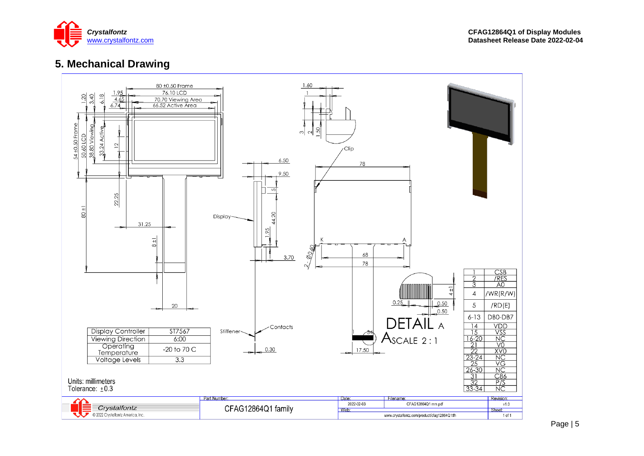

# **5. Mechanical Drawing**

<span id="page-4-0"></span>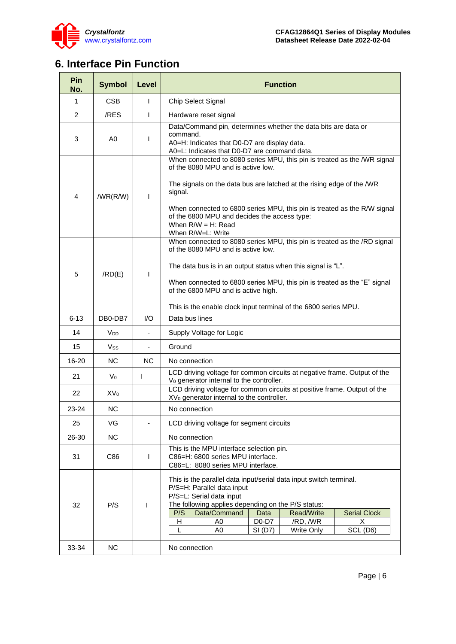

# <span id="page-5-0"></span>**6. Interface Pin Function**

| Pin<br>No.     | <b>Symbol</b>         | Level          | <b>Function</b>                                                                                                                                                                                                                                                                                                                                                              |  |  |  |  |  |
|----------------|-----------------------|----------------|------------------------------------------------------------------------------------------------------------------------------------------------------------------------------------------------------------------------------------------------------------------------------------------------------------------------------------------------------------------------------|--|--|--|--|--|
| $\mathbf 1$    | <b>CSB</b>            | L              | Chip Select Signal                                                                                                                                                                                                                                                                                                                                                           |  |  |  |  |  |
| $\overline{2}$ | /RES                  | L              | Hardware reset signal                                                                                                                                                                                                                                                                                                                                                        |  |  |  |  |  |
| 3              | A0                    | L              | Data/Command pin, determines whether the data bits are data or<br>command.<br>A0=H: Indicates that D0-D7 are display data.<br>A0=L: Indicates that D0-D7 are command data.                                                                                                                                                                                                   |  |  |  |  |  |
| 4              | /WR(R/W)              | L              | When connected to 8080 series MPU, this pin is treated as the /WR signal<br>of the 8080 MPU and is active low.<br>The signals on the data bus are latched at the rising edge of the /WR<br>signal.<br>When connected to 6800 series MPU, this pin is treated as the R/W signal<br>of the 6800 MPU and decides the access type:<br>When $R/W = H$ : Read<br>When R/W=L: Write |  |  |  |  |  |
| 5              | /RD(E)                | L              | When connected to 8080 series MPU, this pin is treated as the /RD signal<br>of the 8080 MPU and is active low.<br>The data bus is in an output status when this signal is "L".<br>When connected to 6800 series MPU, this pin is treated as the "E" signal<br>of the 6800 MPU and is active high.<br>This is the enable clock input terminal of the 6800 series MPU.         |  |  |  |  |  |
| 6-13           | DB0-DB7               | 1/O            | Data bus lines                                                                                                                                                                                                                                                                                                                                                               |  |  |  |  |  |
| 14             | <b>V<sub>DD</sub></b> | $\blacksquare$ | Supply Voltage for Logic                                                                                                                                                                                                                                                                                                                                                     |  |  |  |  |  |
| 15             | Vss                   | $\frac{1}{2}$  | Ground                                                                                                                                                                                                                                                                                                                                                                       |  |  |  |  |  |
| $16 - 20$      | N <sub>C</sub>        | <b>NC</b>      | No connection                                                                                                                                                                                                                                                                                                                                                                |  |  |  |  |  |
| 21             | $V_0$                 | L              | LCD driving voltage for common circuits at negative frame. Output of the<br>V <sub>0</sub> generator internal to the controller.                                                                                                                                                                                                                                             |  |  |  |  |  |
| 22             | $XV_0$                |                | LCD driving voltage for common circuits at positive frame. Output of the<br>XV <sub>0</sub> generator internal to the controller.                                                                                                                                                                                                                                            |  |  |  |  |  |
| $23 - 24$      | N <sub>C</sub>        |                | No connection                                                                                                                                                                                                                                                                                                                                                                |  |  |  |  |  |
| 25             | VG                    |                | LCD driving voltage for segment circuits                                                                                                                                                                                                                                                                                                                                     |  |  |  |  |  |
| 26-30          | NC.                   |                | No connection                                                                                                                                                                                                                                                                                                                                                                |  |  |  |  |  |
| 31             | C86                   | L              | This is the MPU interface selection pin.<br>C86=H: 6800 series MPU interface.<br>C86=L: 8080 series MPU interface.                                                                                                                                                                                                                                                           |  |  |  |  |  |
| 32             | P/S                   | T              | This is the parallel data input/serial data input switch terminal.<br>P/S=H: Parallel data input<br>P/S=L: Serial data input<br>The following applies depending on the P/S status:<br>Data/Command<br>P/S<br><b>Serial Clock</b><br>Data<br><b>Read/Write</b><br>D0-D7<br>/RD, /WR<br>H<br>A <sub>0</sub><br>X<br><b>Write Only</b><br>A0<br>SI (D7)<br>SCL (D6)<br>L        |  |  |  |  |  |
| 33-34          | NC                    |                | No connection                                                                                                                                                                                                                                                                                                                                                                |  |  |  |  |  |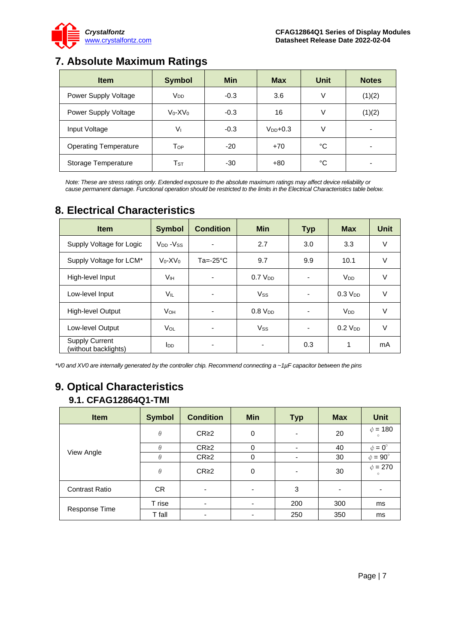

# **7. Absolute Maximum Ratings**

<span id="page-6-0"></span>

| <b>Item</b>                  | <b>Symbol</b>              | <b>Min</b> | <b>Max</b>    | Unit | <b>Notes</b> |
|------------------------------|----------------------------|------------|---------------|------|--------------|
| Power Supply Voltage         | <b>V<sub>DD</sub></b>      | $-0.3$     | 3.6           | ٧    | (1)(2)       |
| Power Supply Voltage         | $V_0$ -X $V_0$             | $-0.3$     | 16            | V    | (1)(2)       |
| Input Voltage                | Vı                         | $-0.3$     | $V_{DD}$ +0.3 | V    | -            |
| <b>Operating Temperature</b> | $\mathsf{T}_{\mathsf{OP}}$ | $-20$      | $+70$         | °C   |              |
| Storage Temperature          | $\mathsf{T}_{\texttt{ST}}$ | -30        | $+80$         | °C   |              |

*Note: These are stress ratings only. Extended exposure to the absolute maximum ratings may affect device reliability or cause permanent damage. Functional operation should be restricted to the limits in the Electrical Characteristics table below.*

# <span id="page-6-1"></span>**8. Electrical Characteristics**

| <b>Item</b>                                   | <b>Symbol</b>     | <b>Condition</b>    | <b>Min</b>            | <b>Typ</b>               | <b>Max</b>            | <b>Unit</b> |
|-----------------------------------------------|-------------------|---------------------|-----------------------|--------------------------|-----------------------|-------------|
| Supply Voltage for Logic                      | $V_{DD} - V_{SS}$ |                     | 2.7                   | 3.0                      | 3.3                   | $\vee$      |
| Supply Voltage for LCM*                       | $V_0$ - $XV_0$    | $Ta = -25^{\circ}C$ | 9.7                   | 9.9                      | 10.1                  | $\vee$      |
| High-level Input                              | Vıн               |                     | $0.7$ V <sub>DD</sub> | $\overline{\phantom{0}}$ | <b>V<sub>DD</sub></b> | $\vee$      |
| Low-level Input                               | <b>VIL</b>        |                     | <b>Vss</b>            | $\overline{\phantom{a}}$ | $0.3$ V <sub>DD</sub> | V           |
| <b>High-level Output</b>                      | <b>V</b> он       |                     | $0.8$ $V_{DD}$        |                          | <b>V<sub>DD</sub></b> | V           |
| Low-level Output                              | VOL               |                     | <b>Vss</b>            | ۰                        | $0.2$ V <sub>DD</sub> | V           |
| <b>Supply Current</b><br>(without backlights) | <b>I</b> DD       |                     | ٠                     | 0.3                      | 1                     | mA          |

*\*V0 and XV0 are internally generated by the controller chip. Recommend connecting a ~1µF capacitor between the pins*

## <span id="page-6-2"></span>**9. Optical Characteristics 9.1. CFAG12864Q1-TMI**

| <b>Item</b>           | <b>Symbol</b> | <b>Condition</b> | <b>Min</b>               | <b>Typ</b>               | <b>Max</b> | <b>Unit</b>             |
|-----------------------|---------------|------------------|--------------------------|--------------------------|------------|-------------------------|
|                       | $\theta$      | CR <sub>2</sub>  | 0                        | ٠                        | 20         | $\phi = 180$<br>$\circ$ |
|                       | $\theta$      | $CR \geq 2$      | 0                        | $\overline{\phantom{0}}$ | 40         | $\phi = 0^{\circ}$      |
| View Angle            | $\theta$      | CR <sub>2</sub>  | 0                        |                          | 30         | $\phi = 90^\circ$       |
|                       | $\theta$      | CR <sub>2</sub>  | 0                        |                          | 30         | $\phi = 270$<br>$\circ$ |
| <b>Contrast Ratio</b> | <b>CR</b>     | ٠                | ٠                        | 3                        | ٠          | ٠                       |
|                       | T rise        |                  | $\overline{\phantom{a}}$ | 200                      | 300        | ms                      |
| Response Time         | T fall        | -                | ٠                        | 250                      | 350        | ms                      |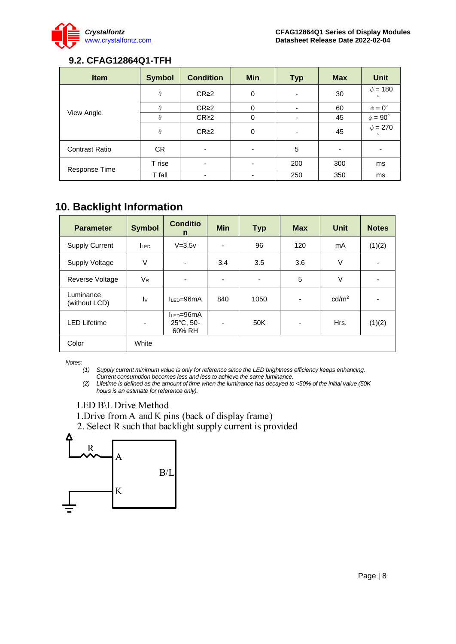

### **9.2. CFAG12864Q1-TFH**

| <b>Item</b>           | <b>Symbol</b> | <b>Condition</b>         | <b>Min</b> | <b>Typ</b> | <b>Max</b> | <b>Unit</b>             |
|-----------------------|---------------|--------------------------|------------|------------|------------|-------------------------|
|                       | $\theta$      | CR <sub>2</sub>          | 0          |            | 30         | $\phi = 180$<br>$\circ$ |
|                       | $\theta$      | CR <sub>2</sub>          | 0          | ۰          | 60         | $\phi = 0^{\circ}$      |
| View Angle            | $\theta$      | CR <sub>2</sub>          | 0          |            | 45         | $\phi = 90^\circ$       |
|                       | $\theta$      | CR <sub>2</sub>          | 0          | -          | 45         | $\phi = 270$<br>$\circ$ |
| <b>Contrast Ratio</b> | <b>CR</b>     |                          |            | 5          |            |                         |
|                       | T rise        | $\overline{\phantom{0}}$ | ٠          | 200        | 300        | ms                      |
| Response Time         | T fall        |                          |            | 250        | 350        | ms                      |

# <span id="page-7-0"></span>**10. Backlight Information**

| <b>Parameter</b>           | <b>Symbol</b>            | <b>Conditio</b><br>n                              | <b>Min</b> | <b>Typ</b>               | <b>Max</b>               | Unit              | <b>Notes</b> |
|----------------------------|--------------------------|---------------------------------------------------|------------|--------------------------|--------------------------|-------------------|--------------|
| <b>Supply Current</b>      | <b>LED</b>               | $V = 3.5v$                                        | ٠          | 96                       | 120                      | mA                | (1)(2)       |
| Supply Voltage             | $\vee$                   |                                                   | 3.4        | 3.5                      | 3.6                      | V                 |              |
| Reverse Voltage            | V <sub>R</sub>           | $\overline{\phantom{a}}$                          | ٠          | $\overline{\phantom{a}}$ | 5                        | V                 |              |
| Luminance<br>(without LCD) | $\mathsf{I} \mathsf{v}$  | $IIFD=96mA$                                       | 840        | 1050                     | $\overline{\phantom{a}}$ | cd/m <sup>2</sup> |              |
| <b>LED Lifetime</b>        | $\overline{\phantom{0}}$ | $I_{LED} = 96mA$<br>$25^{\circ}$ C, 50-<br>60% RH | -          | 50K                      | $\overline{\phantom{a}}$ | Hrs.              | (1)(2)       |
| Color                      | White                    |                                                   |            |                          |                          |                   |              |

*Notes:* 

*(1) Supply current minimum value is only for reference since the LED brightness efficiency keeps enhancing. Current consumption becomes less and less to achieve the same luminance.* 

*(2) Lifetime is defined as the amount of time when the luminance has decayed to <50% of the initial value (50K hours is an estimate for reference only).*

### LED B\L Drive Method

1. Drive from A and K pins (back of display frame)

2. Select R such that backlight supply current is provided

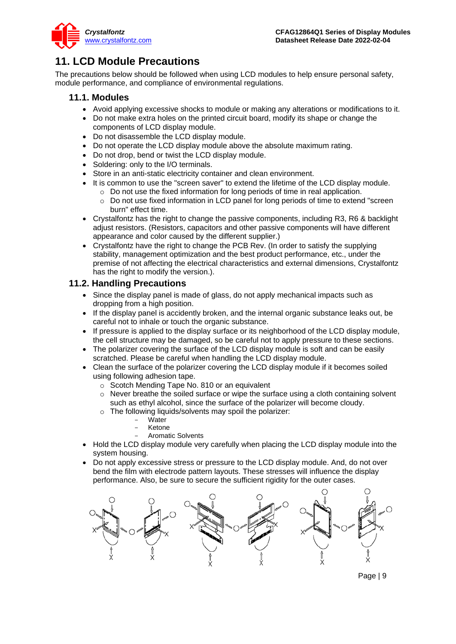

# <span id="page-8-0"></span>**11. LCD Module Precautions**

The precautions below should be followed when using LCD modules to help ensure personal safety, module performance, and compliance of environmental regulations.

#### **11.1. Modules**

- Avoid applying excessive shocks to module or making any alterations or modifications to it.
- Do not make extra holes on the printed circuit board, modify its shape or change the components of LCD display module.
- Do not disassemble the LCD display module.
- Do not operate the LCD display module above the absolute maximum rating.
- Do not drop, bend or twist the LCD display module.
- Soldering: only to the I/O terminals.
- Store in an anti-static electricity container and clean environment.
- It is common to use the "screen saver" to extend the lifetime of the LCD display module.
	- o Do not use the fixed information for long periods of time in real application.
	- $\circ$  Do not use fixed information in LCD panel for long periods of time to extend "screen" burn" effect time.
- Crystalfontz has the right to change the passive components, including R3, R6 & backlight adjust resistors. (Resistors, capacitors and other passive components will have different appearance and color caused by the different supplier.)
- Crystalfontz have the right to change the PCB Rev. (In order to satisfy the supplying stability, management optimization and the best product performance, etc., under the premise of not affecting the electrical characteristics and external dimensions, Crystalfontz has the right to modify the version.).

### **11.2. Handling Precautions**

- Since the display panel is made of glass, do not apply mechanical impacts such as dropping from a high position.
- If the display panel is accidently broken, and the internal organic substance leaks out, be careful not to inhale or touch the organic substance.
- If pressure is applied to the display surface or its neighborhood of the LCD display module, the cell structure may be damaged, so be careful not to apply pressure to these sections.
- The polarizer covering the surface of the LCD display module is soft and can be easily scratched. Please be careful when handling the LCD display module.
- Clean the surface of the polarizer covering the LCD display module if it becomes soiled using following adhesion tape.
	- o Scotch Mending Tape No. 810 or an equivalent
	- $\circ$  Never breathe the soiled surface or wipe the surface using a cloth containing solvent such as ethyl alcohol, since the surface of the polarizer will become cloudy.
	- o The following liquids/solvents may spoil the polarizer:
		- Water
		- **Ketone**
		- Aromatic Solvents
- Hold the LCD display module very carefully when placing the LCD display module into the system housing.
- Do not apply excessive stress or pressure to the LCD display module. And, do not over bend the film with electrode pattern layouts. These stresses will influence the display performance. Also, be sure to secure the sufficient rigidity for the outer cases.

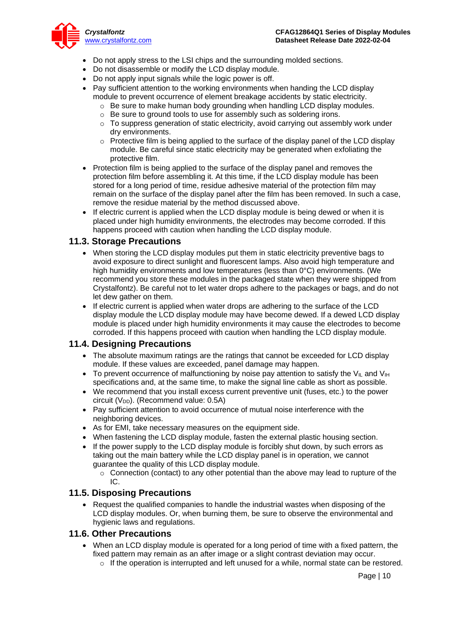

- Do not apply stress to the LSI chips and the surrounding molded sections.
- Do not disassemble or modify the LCD display module.
- Do not apply input signals while the logic power is off.
- Pay sufficient attention to the working environments when handing the LCD display module to prevent occurrence of element breakage accidents by static electricity.
	- o Be sure to make human body grounding when handling LCD display modules.
	- o Be sure to ground tools to use for assembly such as soldering irons.
	- $\circ$  To suppress generation of static electricity, avoid carrying out assembly work under dry environments.
	- $\circ$  Protective film is being applied to the surface of the display panel of the LCD display module. Be careful since static electricity may be generated when exfoliating the protective film.
- Protection film is being applied to the surface of the display panel and removes the protection film before assembling it. At this time, if the LCD display module has been stored for a long period of time, residue adhesive material of the protection film may remain on the surface of the display panel after the film has been removed. In such a case, remove the residue material by the method discussed above.
- If electric current is applied when the LCD display module is being dewed or when it is placed under high humidity environments, the electrodes may become corroded. If this happens proceed with caution when handling the LCD display module.

#### **11.3. Storage Precautions**

- When storing the LCD display modules put them in static electricity preventive bags to avoid exposure to direct sunlight and fluorescent lamps. Also avoid high temperature and high humidity environments and low temperatures (less than 0°C) environments. (We recommend you store these modules in the packaged state when they were shipped from Crystalfontz). Be careful not to let water drops adhere to the packages or bags, and do not let dew gather on them.
- If electric current is applied when water drops are adhering to the surface of the LCD display module the LCD display module may have become dewed. If a dewed LCD display module is placed under high humidity environments it may cause the electrodes to become corroded. If this happens proceed with caution when handling the LCD display module.

#### **11.4. Designing Precautions**

- The absolute maximum ratings are the ratings that cannot be exceeded for LCD display module. If these values are exceeded, panel damage may happen.
- To prevent occurrence of malfunctioning by noise pay attention to satisfy the V<sub>II</sub> and V<sub>IH</sub> specifications and, at the same time, to make the signal line cable as short as possible.
- We recommend that you install excess current preventive unit (fuses, etc.) to the power circuit ( $V_{DD}$ ). (Recommend value: 0.5A)
- Pay sufficient attention to avoid occurrence of mutual noise interference with the neighboring devices.
- As for EMI, take necessary measures on the equipment side.
- When fastening the LCD display module, fasten the external plastic housing section.
- If the power supply to the LCD display module is forcibly shut down, by such errors as taking out the main battery while the LCD display panel is in operation, we cannot guarantee the quality of this LCD display module.
	- $\circ$  Connection (contact) to any other potential than the above may lead to rupture of the IC.

#### **11.5. Disposing Precautions**

• Request the qualified companies to handle the industrial wastes when disposing of the LCD display modules. Or, when burning them, be sure to observe the environmental and hygienic laws and regulations.

#### **11.6. Other Precautions**

- When an LCD display module is operated for a long period of time with a fixed pattern, the fixed pattern may remain as an after image or a slight contrast deviation may occur.
	- $\circ$  If the operation is interrupted and left unused for a while, normal state can be restored.